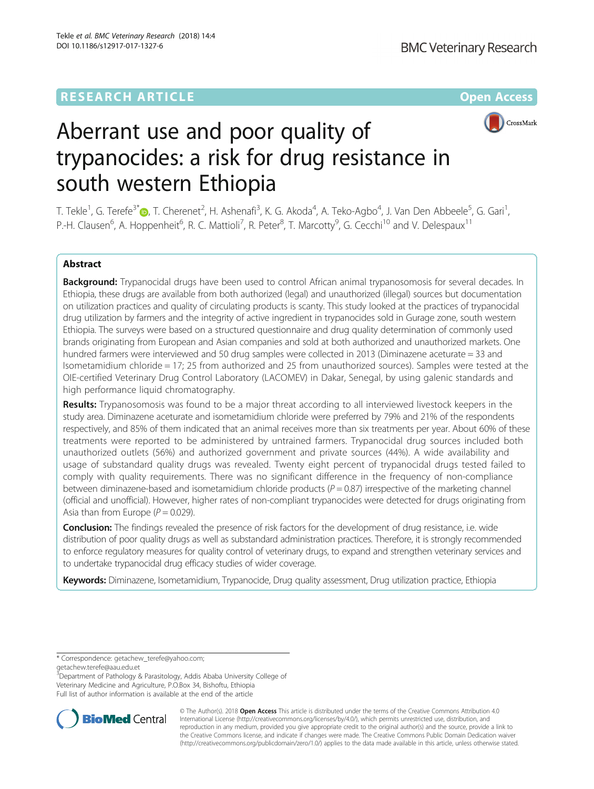## **RESEARCH ARTICLE Example 2014 12:30 The Contract of Contract Article 2014**



# Aberrant use and poor quality of trypanocides: a risk for drug resistance in south western Ethiopia

T. Tekle<sup>1</sup>[,](http://orcid.org/0000-0002-8373-1460) G. Terefe<sup>3\*</sup>�, T. Cherenet<sup>2</sup>, H. Ashenafi<sup>3</sup>, K. G. Akoda<sup>4</sup>, A. Teko-Agbo<sup>4</sup>, J. Van Den Abbeele<sup>5</sup>, G. Gari<sup>1</sup> , P.-H. Clausen<sup>6</sup>, A. Hoppenheit<sup>6</sup>, R. C. Mattioli<sup>7</sup>, R. Peter<sup>8</sup>, T. Marcotty<sup>9</sup>, G. Cecchi<sup>10</sup> and V. Delespaux<sup>11</sup>

## Abstract

Background: Trypanocidal drugs have been used to control African animal trypanosomosis for several decades. In Ethiopia, these drugs are available from both authorized (legal) and unauthorized (illegal) sources but documentation on utilization practices and quality of circulating products is scanty. This study looked at the practices of trypanocidal drug utilization by farmers and the integrity of active ingredient in trypanocides sold in Gurage zone, south western Ethiopia. The surveys were based on a structured questionnaire and drug quality determination of commonly used brands originating from European and Asian companies and sold at both authorized and unauthorized markets. One hundred farmers were interviewed and 50 drug samples were collected in 2013 (Diminazene aceturate = 33 and Isometamidium chloride = 17; 25 from authorized and 25 from unauthorized sources). Samples were tested at the OIE-certified Veterinary Drug Control Laboratory (LACOMEV) in Dakar, Senegal, by using galenic standards and high performance liquid chromatography.

Results: Trypanosomosis was found to be a major threat according to all interviewed livestock keepers in the study area. Diminazene aceturate and isometamidium chloride were preferred by 79% and 21% of the respondents respectively, and 85% of them indicated that an animal receives more than six treatments per year. About 60% of these treatments were reported to be administered by untrained farmers. Trypanocidal drug sources included both unauthorized outlets (56%) and authorized government and private sources (44%). A wide availability and usage of substandard quality drugs was revealed. Twenty eight percent of trypanocidal drugs tested failed to comply with quality requirements. There was no significant difference in the frequency of non-compliance between diminazene-based and isometamidium chloride products ( $P = 0.87$ ) irrespective of the marketing channel (official and unofficial). However, higher rates of non-compliant trypanocides were detected for drugs originating from Asia than from Europe ( $P = 0.029$ ).

**Conclusion:** The findings revealed the presence of risk factors for the development of drug resistance, i.e. wide distribution of poor quality drugs as well as substandard administration practices. Therefore, it is strongly recommended to enforce regulatory measures for quality control of veterinary drugs, to expand and strengthen veterinary services and to undertake trypanocidal drug efficacy studies of wider coverage.

Keywords: Diminazene, Isometamidium, Trypanocide, Drug quality assessment, Drug utilization practice, Ethiopia

\* Correspondence: [getachew\\_terefe@yahoo.com;](mailto:getachew_terefe@yahoo.com)

[getachew.terefe@aau.edu.et](mailto:getachew.terefe@aau.edu.et)<br><sup>3</sup>Department of Pathology & Parasitology, Addis Ababa University College of Veterinary Medicine and Agriculture, P.O.Box 34, Bishoftu, Ethiopia Full list of author information is available at the end of the article



© The Author(s). 2018 Open Access This article is distributed under the terms of the Creative Commons Attribution 4.0 International License [\(http://creativecommons.org/licenses/by/4.0/](http://creativecommons.org/licenses/by/4.0/)), which permits unrestricted use, distribution, and reproduction in any medium, provided you give appropriate credit to the original author(s) and the source, provide a link to the Creative Commons license, and indicate if changes were made. The Creative Commons Public Domain Dedication waiver [\(http://creativecommons.org/publicdomain/zero/1.0/](http://creativecommons.org/publicdomain/zero/1.0/)) applies to the data made available in this article, unless otherwise stated.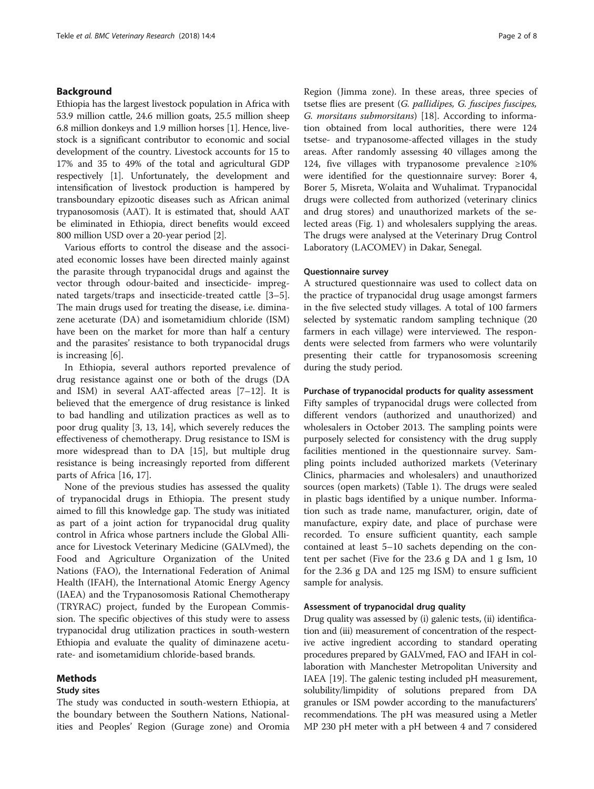## Background

Ethiopia has the largest livestock population in Africa with 53.9 million cattle, 24.6 million goats, 25.5 million sheep 6.8 million donkeys and 1.9 million horses [[1](#page-6-0)]. Hence, livestock is a significant contributor to economic and social development of the country. Livestock accounts for 15 to 17% and 35 to 49% of the total and agricultural GDP respectively [[1](#page-6-0)]. Unfortunately, the development and intensification of livestock production is hampered by transboundary epizootic diseases such as African animal trypanosomosis (AAT). It is estimated that, should AAT be eliminated in Ethiopia, direct benefits would exceed 800 million USD over a 20-year period [\[2\]](#page-6-0).

Various efforts to control the disease and the associated economic losses have been directed mainly against the parasite through trypanocidal drugs and against the vector through odour-baited and insecticide- impregnated targets/traps and insecticide-treated cattle [\[3](#page-6-0)–[5](#page-6-0)]. The main drugs used for treating the disease, i.e. diminazene aceturate (DA) and isometamidium chloride (ISM) have been on the market for more than half a century and the parasites' resistance to both trypanocidal drugs is increasing [\[6](#page-6-0)].

In Ethiopia, several authors reported prevalence of drug resistance against one or both of the drugs (DA and ISM) in several AAT-affected areas [\[7](#page-6-0)–[12](#page-6-0)]. It is believed that the emergence of drug resistance is linked to bad handling and utilization practices as well as to poor drug quality [[3](#page-6-0), [13, 14](#page-6-0)], which severely reduces the effectiveness of chemotherapy. Drug resistance to ISM is more widespread than to DA [\[15](#page-6-0)], but multiple drug resistance is being increasingly reported from different parts of Africa [[16, 17\]](#page-6-0).

None of the previous studies has assessed the quality of trypanocidal drugs in Ethiopia. The present study aimed to fill this knowledge gap. The study was initiated as part of a joint action for trypanocidal drug quality control in Africa whose partners include the Global Alliance for Livestock Veterinary Medicine (GALVmed), the Food and Agriculture Organization of the United Nations (FAO), the International Federation of Animal Health (IFAH), the International Atomic Energy Agency (IAEA) and the Trypanosomosis Rational Chemotherapy (TRYRAC) project, funded by the European Commission. The specific objectives of this study were to assess trypanocidal drug utilization practices in south-western Ethiopia and evaluate the quality of diminazene aceturate- and isometamidium chloride-based brands.

## Methods

## Study sites

The study was conducted in south-western Ethiopia, at the boundary between the Southern Nations, Nationalities and Peoples' Region (Gurage zone) and Oromia

Region (Jimma zone). In these areas, three species of tsetse flies are present (G. pallidipes, G. fuscipes fuscipes, G. morsitans submorsitans) [\[18](#page-6-0)]. According to information obtained from local authorities, there were 124 tsetse- and trypanosome-affected villages in the study areas. After randomly assessing 40 villages among the 124, five villages with trypanosome prevalence ≥10% were identified for the questionnaire survey: Borer 4, Borer 5, Misreta, Wolaita and Wuhalimat. Trypanocidal drugs were collected from authorized (veterinary clinics and drug stores) and unauthorized markets of the selected areas (Fig. [1](#page-2-0)) and wholesalers supplying the areas. The drugs were analysed at the Veterinary Drug Control Laboratory (LACOMEV) in Dakar, Senegal.

## Questionnaire survey

A structured questionnaire was used to collect data on the practice of trypanocidal drug usage amongst farmers in the five selected study villages. A total of 100 farmers selected by systematic random sampling technique (20 farmers in each village) were interviewed. The respondents were selected from farmers who were voluntarily presenting their cattle for trypanosomosis screening during the study period.

## Purchase of trypanocidal products for quality assessment

Fifty samples of trypanocidal drugs were collected from different vendors (authorized and unauthorized) and wholesalers in October 2013. The sampling points were purposely selected for consistency with the drug supply facilities mentioned in the questionnaire survey. Sampling points included authorized markets (Veterinary Clinics, pharmacies and wholesalers) and unauthorized sources (open markets) (Table [1](#page-2-0)). The drugs were sealed in plastic bags identified by a unique number. Information such as trade name, manufacturer, origin, date of manufacture, expiry date, and place of purchase were recorded. To ensure sufficient quantity, each sample contained at least 5–10 sachets depending on the content per sachet (Five for the 23.6 g DA and 1 g Ism, 10 for the 2.36 g DA and 125 mg ISM) to ensure sufficient sample for analysis.

#### Assessment of trypanocidal drug quality

Drug quality was assessed by (i) galenic tests, (ii) identification and (iii) measurement of concentration of the respective active ingredient according to standard operating procedures prepared by GALVmed, FAO and IFAH in collaboration with Manchester Metropolitan University and IAEA [\[19\]](#page-6-0). The galenic testing included pH measurement, solubility/limpidity of solutions prepared from DA granules or ISM powder according to the manufacturers' recommendations. The pH was measured using a Metler MP 230 pH meter with a pH between 4 and 7 considered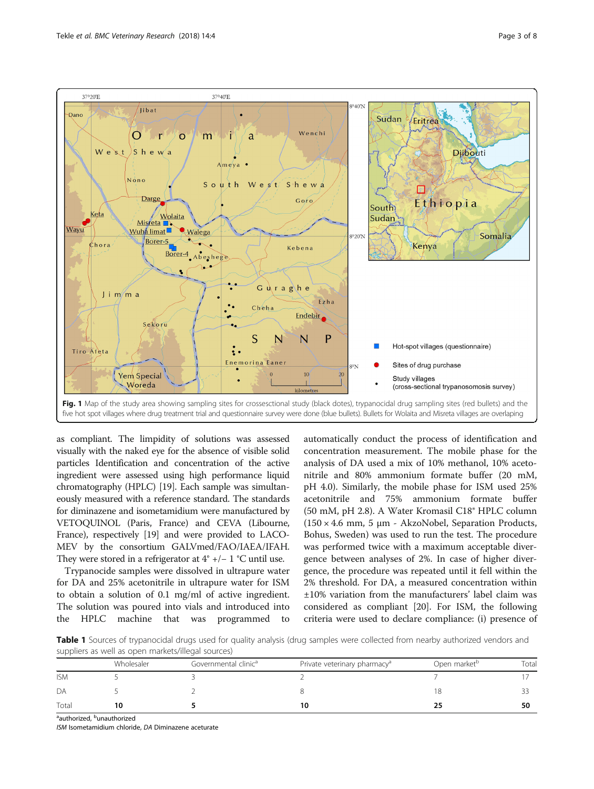<span id="page-2-0"></span>

as compliant. The limpidity of solutions was assessed visually with the naked eye for the absence of visible solid particles Identification and concentration of the active ingredient were assessed using high performance liquid chromatography (HPLC) [[19](#page-6-0)]. Each sample was simultaneously measured with a reference standard. The standards for diminazene and isometamidium were manufactured by VETOQUINOL (Paris, France) and CEVA (Libourne, France), respectively [\[19\]](#page-6-0) and were provided to LACO-MEV by the consortium GALVmed/FAO/IAEA/IFAH. They were stored in a refrigerator at  $4^{\circ}$  +/− 1 °C until use.

Trypanocide samples were dissolved in ultrapure water for DA and 25% acetonitrile in ultrapure water for ISM to obtain a solution of 0.1 mg/ml of active ingredient. The solution was poured into vials and introduced into the HPLC machine that was programmed to

automatically conduct the process of identification and concentration measurement. The mobile phase for the analysis of DA used a mix of 10% methanol, 10% acetonitrile and 80% ammonium formate buffer (20 mM, pH 4.0). Similarly, the mobile phase for ISM used 25% acetonitrile and 75% ammonium formate buffer (50 mM, pH 2.8). A Water Kromasil C18® HPLC column (150 × 4.6 mm, 5 μm - AkzoNobel, Separation Products, Bohus, Sweden) was used to run the test. The procedure was performed twice with a maximum acceptable divergence between analyses of 2%. In case of higher divergence, the procedure was repeated until it fell within the 2% threshold. For DA, a measured concentration within ±10% variation from the manufacturers' label claim was considered as compliant [[20](#page-6-0)]. For ISM, the following criteria were used to declare compliance: (i) presence of

Table 1 Sources of trypanocidal drugs used for quality analysis (drug samples were collected from nearby authorized vendors and suppliers as well as open markets/illegal sources)

|            | Wholesaler | Governmental clinic <sup>a</sup> | Private veterinary pharmacy <sup>a</sup> | Open market <sup>b</sup> | Total |  |
|------------|------------|----------------------------------|------------------------------------------|--------------------------|-------|--|
| <b>ISM</b> |            |                                  |                                          |                          |       |  |
| DA         |            |                                  |                                          |                          |       |  |
| Total      |            |                                  |                                          |                          | 50    |  |

<sup>a</sup>authorized, <sup>b</sup>unauthorized

ISM Isometamidium chloride, DA Diminazene aceturate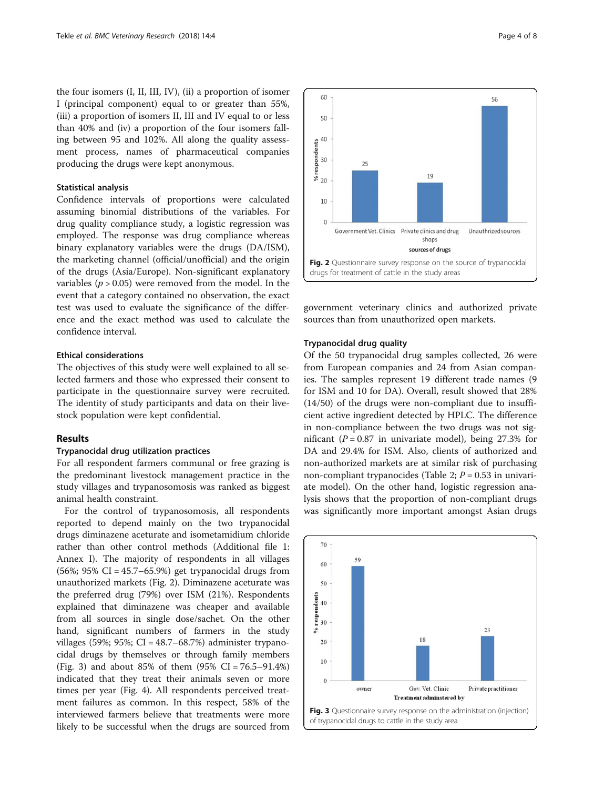the four isomers (I, II, III, IV), (ii) a proportion of isomer I (principal component) equal to or greater than 55%, (iii) a proportion of isomers II, III and IV equal to or less than 40% and (iv) a proportion of the four isomers falling between 95 and 102%. All along the quality assessment process, names of pharmaceutical companies producing the drugs were kept anonymous.

## Statistical analysis

Confidence intervals of proportions were calculated assuming binomial distributions of the variables. For drug quality compliance study, a logistic regression was employed. The response was drug compliance whereas binary explanatory variables were the drugs (DA/ISM), the marketing channel (official/unofficial) and the origin of the drugs (Asia/Europe). Non-significant explanatory variables ( $p > 0.05$ ) were removed from the model. In the event that a category contained no observation, the exact test was used to evaluate the significance of the difference and the exact method was used to calculate the confidence interval.

## Ethical considerations

The objectives of this study were well explained to all selected farmers and those who expressed their consent to participate in the questionnaire survey were recruited. The identity of study participants and data on their livestock population were kept confidential.

## Results

## Trypanocidal drug utilization practices

For all respondent farmers communal or free grazing is the predominant livestock management practice in the study villages and trypanosomosis was ranked as biggest animal health constraint.

For the control of trypanosomosis, all respondents reported to depend mainly on the two trypanocidal drugs diminazene aceturate and isometamidium chloride rather than other control methods (Additional file [1](#page-5-0): Annex I). The majority of respondents in all villages (56%; 95% CI = 45.7–65.9%) get trypanocidal drugs from unauthorized markets (Fig. 2). Diminazene aceturate was the preferred drug (79%) over ISM (21%). Respondents explained that diminazene was cheaper and available from all sources in single dose/sachet. On the other hand, significant numbers of farmers in the study villages (59%; 95%; CI = 48.7–68.7%) administer trypanocidal drugs by themselves or through family members (Fig. 3) and about 85% of them (95% CI = 76.5–91.4%) indicated that they treat their animals seven or more times per year (Fig. [4](#page-4-0)). All respondents perceived treatment failures as common. In this respect, 58% of the interviewed farmers believe that treatments were more likely to be successful when the drugs are sourced from



government veterinary clinics and authorized private sources than from unauthorized open markets.

## Trypanocidal drug quality

Of the 50 trypanocidal drug samples collected, 26 were from European companies and 24 from Asian companies. The samples represent 19 different trade names (9 for ISM and 10 for DA). Overall, result showed that 28% (14/50) of the drugs were non-compliant due to insufficient active ingredient detected by HPLC. The difference in non-compliance between the two drugs was not significant ( $P = 0.87$  in univariate model), being 27.3% for DA and 29.4% for ISM. Also, clients of authorized and non-authorized markets are at similar risk of purchasing non-compliant trypanocides (Table [2;](#page-4-0)  $P = 0.53$  in univariate model). On the other hand, logistic regression analysis shows that the proportion of non-compliant drugs was significantly more important amongst Asian drugs

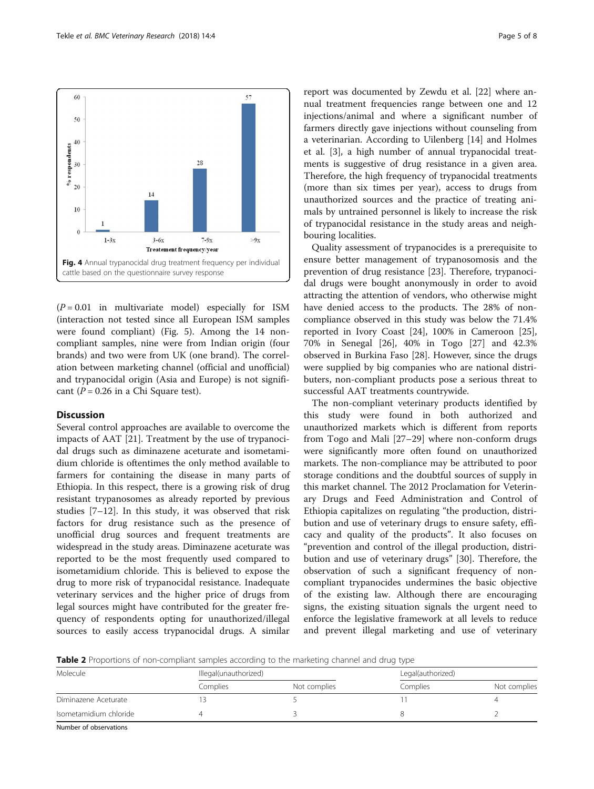<span id="page-4-0"></span>

 $(P = 0.01$  in multivariate model) especially for ISM (interaction not tested since all European ISM samples were found compliant) (Fig. [5\)](#page-5-0). Among the 14 noncompliant samples, nine were from Indian origin (four brands) and two were from UK (one brand). The correlation between marketing channel (official and unofficial) and trypanocidal origin (Asia and Europe) is not significant ( $P = 0.26$  in a Chi Square test).

## Discussion

Several control approaches are available to overcome the impacts of AAT [\[21](#page-7-0)]. Treatment by the use of trypanocidal drugs such as diminazene aceturate and isometamidium chloride is oftentimes the only method available to farmers for containing the disease in many parts of Ethiopia. In this respect, there is a growing risk of drug resistant trypanosomes as already reported by previous studies [[7](#page-6-0)–[12](#page-6-0)]. In this study, it was observed that risk factors for drug resistance such as the presence of unofficial drug sources and frequent treatments are widespread in the study areas. Diminazene aceturate was reported to be the most frequently used compared to isometamidium chloride. This is believed to expose the drug to more risk of trypanocidal resistance. Inadequate veterinary services and the higher price of drugs from legal sources might have contributed for the greater frequency of respondents opting for unauthorized/illegal sources to easily access trypanocidal drugs. A similar

report was documented by Zewdu et al. [[22\]](#page-7-0) where annual treatment frequencies range between one and 12 injections/animal and where a significant number of farmers directly gave injections without counseling from a veterinarian. According to Uilenberg [[14](#page-6-0)] and Holmes et al. [[3\]](#page-6-0), a high number of annual trypanocidal treatments is suggestive of drug resistance in a given area. Therefore, the high frequency of trypanocidal treatments (more than six times per year), access to drugs from unauthorized sources and the practice of treating animals by untrained personnel is likely to increase the risk of trypanocidal resistance in the study areas and neighbouring localities.

Quality assessment of trypanocides is a prerequisite to ensure better management of trypanosomosis and the prevention of drug resistance [\[23](#page-7-0)]. Therefore, trypanocidal drugs were bought anonymously in order to avoid attracting the attention of vendors, who otherwise might have denied access to the products. The 28% of noncompliance observed in this study was below the 71.4% reported in Ivory Coast [[24\]](#page-7-0), 100% in Cameroon [\[25](#page-7-0)], 70% in Senegal [\[26\]](#page-7-0), 40% in Togo [[27\]](#page-7-0) and 42.3% observed in Burkina Faso [[28\]](#page-7-0). However, since the drugs were supplied by big companies who are national distributers, non-compliant products pose a serious threat to successful AAT treatments countrywide.

The non-compliant veterinary products identified by this study were found in both authorized and unauthorized markets which is different from reports from Togo and Mali [\[27](#page-7-0)–[29\]](#page-7-0) where non-conform drugs were significantly more often found on unauthorized markets. The non-compliance may be attributed to poor storage conditions and the doubtful sources of supply in this market channel. The 2012 Proclamation for Veterinary Drugs and Feed Administration and Control of Ethiopia capitalizes on regulating "the production, distribution and use of veterinary drugs to ensure safety, efficacy and quality of the products". It also focuses on "prevention and control of the illegal production, distribution and use of veterinary drugs" [[30](#page-7-0)]. Therefore, the observation of such a significant frequency of noncompliant trypanocides undermines the basic objective of the existing law. Although there are encouraging signs, the existing situation signals the urgent need to enforce the legislative framework at all levels to reduce and prevent illegal marketing and use of veterinary

**Table 2** Proportions of non-compliant samples according to the marketing channel and drug type

| Molecule               | Illegal(unauthorized) |              | Legal(authorized) |              |
|------------------------|-----------------------|--------------|-------------------|--------------|
|                        | Complies              | Not complies | Complies          | Not complies |
| Diminazene Aceturate   |                       |              |                   |              |
| Isometamidium chloride |                       |              |                   |              |

Number of observations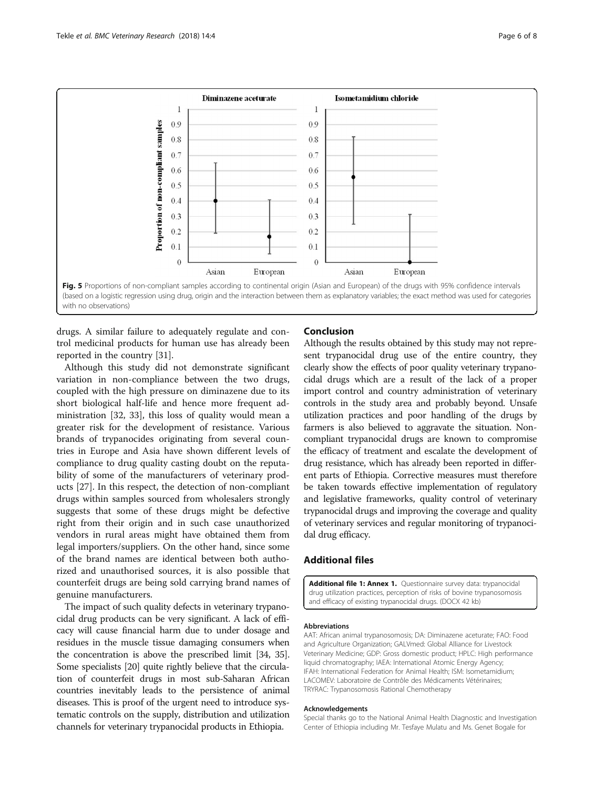<span id="page-5-0"></span>

drugs. A similar failure to adequately regulate and control medicinal products for human use has already been reported in the country [[31\]](#page-7-0).

Although this study did not demonstrate significant variation in non-compliance between the two drugs, coupled with the high pressure on diminazene due to its short biological half-life and hence more frequent administration [[32, 33\]](#page-7-0), this loss of quality would mean a greater risk for the development of resistance. Various brands of trypanocides originating from several countries in Europe and Asia have shown different levels of compliance to drug quality casting doubt on the reputability of some of the manufacturers of veterinary products [[27\]](#page-7-0). In this respect, the detection of non-compliant drugs within samples sourced from wholesalers strongly suggests that some of these drugs might be defective right from their origin and in such case unauthorized vendors in rural areas might have obtained them from legal importers/suppliers. On the other hand, since some of the brand names are identical between both authorized and unauthorised sources, it is also possible that counterfeit drugs are being sold carrying brand names of genuine manufacturers.

The impact of such quality defects in veterinary trypanocidal drug products can be very significant. A lack of efficacy will cause financial harm due to under dosage and residues in the muscle tissue damaging consumers when the concentration is above the prescribed limit [[34](#page-7-0), [35](#page-7-0)]. Some specialists [[20](#page-6-0)] quite rightly believe that the circulation of counterfeit drugs in most sub-Saharan African countries inevitably leads to the persistence of animal diseases. This is proof of the urgent need to introduce systematic controls on the supply, distribution and utilization channels for veterinary trypanocidal products in Ethiopia.

## Conclusion

Although the results obtained by this study may not represent trypanocidal drug use of the entire country, they clearly show the effects of poor quality veterinary trypanocidal drugs which are a result of the lack of a proper import control and country administration of veterinary controls in the study area and probably beyond. Unsafe utilization practices and poor handling of the drugs by farmers is also believed to aggravate the situation. Noncompliant trypanocidal drugs are known to compromise the efficacy of treatment and escalate the development of drug resistance, which has already been reported in different parts of Ethiopia. Corrective measures must therefore be taken towards effective implementation of regulatory and legislative frameworks, quality control of veterinary trypanocidal drugs and improving the coverage and quality of veterinary services and regular monitoring of trypanocidal drug efficacy.

## Additional files

[Additional file 1: Annex 1.](dx.doi.org/10.1186/s12917-017-1327-6) Questionnaire survey data: trypanocidal drug utilization practices, perception of risks of bovine trypanosomosis and efficacy of existing trypanocidal drugs. (DOCX 42 kb)

#### Abbreviations

AAT: African animal trypanosomosis; DA: Diminazene aceturate; FAO: Food and Agriculture Organization; GALVmed: Global Alliance for Livestock Veterinary Medicine; GDP: Gross domestic product; HPLC: High performance liquid chromatography; IAEA: International Atomic Energy Agency; IFAH: International Federation for Animal Health; ISM: Isometamidium; LACOMEV: Laboratoire de Contrôle des Médicaments Vétérinaires; TRYRAC: Trypanosomosis Rational Chemotherapy

#### Acknowledgements

Special thanks go to the National Animal Health Diagnostic and Investigation Center of Ethiopia including Mr. Tesfaye Mulatu and Ms. Genet Bogale for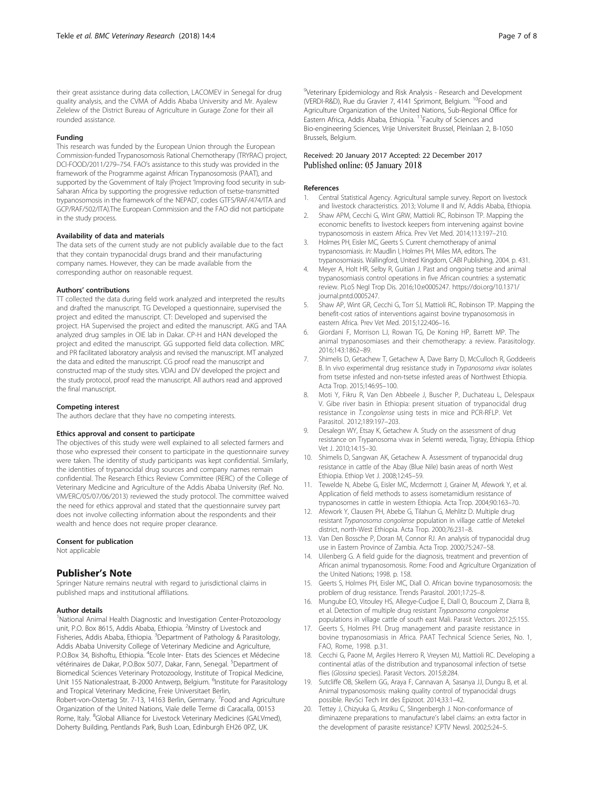<span id="page-6-0"></span>their great assistance during data collection, LACOMEV in Senegal for drug quality analysis, and the CVMA of Addis Ababa University and Mr. Ayalew Zelelew of the District Bureau of Agriculture in Gurage Zone for their all rounded assistance.

#### Funding

This research was funded by the European Union through the European Commission-funded Trypanosomosis Rational Chemotherapy (TRYRAC) project, DCI-FOOD/2011/279–754. FAO's assistance to this study was provided in the framework of the Programme against African Trypanosomosis (PAAT), and supported by the Government of Italy (Project 'Improving food security in sub-Saharan Africa by supporting the progressive reduction of tsetse-transmitted trypanosomosis in the framework of the NEPAD', codes GTFS/RAF/474/ITA and GCP/RAF/502/ITA).The European Commission and the FAO did not participate in the study process.

#### Availability of data and materials

The data sets of the current study are not publicly available due to the fact that they contain trypanocidal drugs brand and their manufacturing company names. However, they can be made available from the corresponding author on reasonable request.

#### Authors' contributions

TT collected the data during field work analyzed and interpreted the results and drafted the manuscript. TG Developed a questionnaire, supervised the project and edited the manuscript. CT: Developed and supervised the project. HA Supervised the project and edited the manuscript. AKG and TAA analyzed drug samples in OIE lab in Dakar. CP-H and HAN developed the project and edited the manuscript. GG supported field data collection. MRC and PR facilitated laboratory analysis and revised the manuscript. MT analyzed the data and edited the manuscript. CG proof read the manuscript and constructed map of the study sites. VDAJ and DV developed the project and the study protocol, proof read the manuscript. All authors read and approved the final manuscript.

#### Competing interest

The authors declare that they have no competing interests.

## Ethics approval and consent to participate

The objectives of this study were well explained to all selected farmers and those who expressed their consent to participate in the questionnaire survey were taken. The identity of study participants was kept confidential. Similarly, the identities of trypanocidal drug sources and company names remain confidential. The Research Ethics Review Committee (RERC) of the College of Veterinary Medicine and Agriculture of the Addis Ababa University (Ref. No. VM/ERC/05/07/06/2013) reviewed the study protocol. The committee waived the need for ethics approval and stated that the questionnaire survey part does not involve collecting information about the respondents and their wealth and hence does not require proper clearance.

#### Consent for publication

Not applicable

## Publisher's Note

Springer Nature remains neutral with regard to jurisdictional claims in published maps and institutional affiliations.

#### Author details

<sup>1</sup>National Animal Health Diagnostic and Investigation Center-Protozoology unit, P.O. Box 8615, Addis Ababa, Ethiopia. <sup>2</sup>Minstry of Livestock and Fisheries, Addis Ababa, Ethiopia. <sup>3</sup>Department of Pathology & Parasitology, Addis Ababa University College of Veterinary Medicine and Agriculture, P.O.Box 34, Bishoftu, Ethiopia. <sup>4</sup>Ecole Inter- Etats des Sciences et Médecine vétérinaires de Dakar, P.O.Box 5077, Dakar, Fann, Senegal. <sup>5</sup>Department of Biomedical Sciences Veterinary Protozoology, Institute of Tropical Medicine, Unit 155 Nationalestraat, B-2000 Antwerp, Belgium. <sup>6</sup>Institute for Parasitology and Tropical Veterinary Medicine, Freie Universitaet Berlin, Robert-von-Ostertag Str. 7-13, 14163 Berlin, Germany. <sup>7</sup>Food and Agriculture Organization of the United Nations, Viale delle Terme di Caracalla, 00153 Rome, Italy. <sup>8</sup>Global Alliance for Livestock Veterinary Medicines (GALVmed), Doherty Building, Pentlands Park, Bush Loan, Edinburgh EH26 0PZ, UK.

9 Veterinary Epidemiology and Risk Analysis - Research and Development (VERDI-R&D), Rue du Gravier 7, 4141 Sprimont, Belgium. <sup>10</sup>Food and Agriculture Organization of the United Nations, Sub-Regional Office for Eastern Africa, Addis Ababa, Ethiopia. 11Faculty of Sciences and Bio-engineering Sciences, Vrije Universiteit Brussel, Pleinlaan 2, B-1050 Brussels, Belgium.

## Received: 20 January 2017 Accepted: 22 December 2017 Published online: 05 January 2018

#### References

- 1. Central Statistical Agency. Agricultural sample survey. Report on livestock and livestock characteristics. 2013; Volume II and IV, Addis Ababa, Ethiopia.
- 2. Shaw APM, Cecchi G, Wint GRW, Mattioli RC, Robinson TP. Mapping the economic benefits to livestock keepers from intervening against bovine trypanosomosis in eastern Africa. Prev Vet Med. 2014;113:197–210.
- 3. Holmes PH, Eisler MC, Geerts S. Current chemotherapy of animal trypanosomiasis. In: Maudlin I, Holmes PH, Miles MA, editors. The trypanosomiasis. Wallingford, United Kingdom, CABI Publishing, 2004. p. 431.
- 4. Meyer A, Holt HR, Selby R, Guitian J. Past and ongoing tsetse and animal trypanosomiasis control operations in five African countries: a systematic review. PLoS Negl Trop Dis. 2016;10:e0005247. [https://doi.org/10.1371/](http://dx.doi.org/10.1371/journal.pntd.0005247) [journal.pntd.0005247](http://dx.doi.org/10.1371/journal.pntd.0005247).
- 5. Shaw AP, Wint GR, Cecchi G, Torr SJ, Mattioli RC, Robinson TP. Mapping the benefit-cost ratios of interventions against bovine trypanosomosis in eastern Africa. Prev Vet Med. 2015;122:406–16.
- 6. Giordani F, Morrison LJ, Rowan TG, De Koning HP, Barrett MP. The animal trypanosomiases and their chemotherapy: a review. Parasitology. 2016;143:1862–89.
- 7. Shimelis D, Getachew T, Getachew A, Dave Barry D, McCulloch R, Goddeeris B. In vivo experimental drug resistance study in Trypanosoma vivax isolates from tsetse infested and non-tsetse infested areas of Northwest Ethiopia. Acta Trop. 2015;146:95–100.
- 8. Moti Y, Fikru R, Van Den Abbeele J, Buscher P, Duchateau L, Delespaux V. Gibe river basin in Ethiopia: present situation of trypanocidal drug resistance in T.congolense using tests in mice and PCR-RFLP. Vet Parasitol. 2012;189:197–203.
- 9. Desalegn WY, Etsay K, Getachew A. Study on the assessment of drug resistance on Trypanosoma vivax in Selemti wereda, Tigray, Ethiopia. Ethiop Vet J. 2010;14:15–30.
- 10. Shimelis D, Sangwan AK, Getachew A. Assessment of trypanocidal drug resistance in cattle of the Abay (Blue Nile) basin areas of north West Ethiopia. Ethiop Vet J. 2008;12:45–59.
- 11. Tewelde N, Abebe G, Eisler MC, Mcdermott J, Grainer M, Afework Y, et al. Application of field methods to assess isometamidium resistance of trypanosomes in cattle in western Ethiopia. Acta Trop. 2004;90:163–70.
- 12. Afework Y, Clausen PH, Abebe G, Tilahun G, Mehlitz D. Multiple drug resistant Trypanosoma congolense population in village cattle of Metekel district, north-West Ethiopia. Acta Trop. 2000;76:231–8.
- 13. Van Den Bossche P, Doran M, Connor RJ. An analysis of trypanocidal drug use in Eastern Province of Zambia. Acta Trop. 2000;75:247–58.
- 14. Uilenberg G. A field guide for the diagnosis, treatment and prevention of African animal trypanosomosis. Rome: Food and Agriculture Organization of the United Nations; 1998. p. 158.
- 15. Geerts S, Holmes PH, Eisler MC, Diall O. African bovine trypanosomosis: the problem of drug resistance. Trends Parasitol. 2001;17:25–8.
- 16. Mungube EO, Vitouley HS, Allegye-Cudjoe E, Diall O, Boucoum Z, Diarra B, et al. Detection of multiple drug resistant Trypanosoma congolense populations in village cattle of south east Mali. Parasit Vectors. 2012;5:155.
- 17. Geerts S, Holmes PH. Drug management and parasite resistance in bovine trypanosomiasis in Africa. PAAT Technical Science Series, No. 1, FAO, Rome, 1998. p.31.
- 18. Cecchi G, Paone M, Argiles Herrero R, Vreysen MJ, Mattioli RC. Developing a continental atlas of the distribution and trypanosomal infection of tsetse flies (Glossina species). Parasit Vectors. 2015;8:284.
- 19. Sutcliffe OB, Skellern GG, Araya F, Cannavan A, Sasanya JJ, Dungu B, et al. Animal trypanosomosis: making quality control of trypanocidal drugs possible. RevSci Tech Int des Epizoot. 2014;33:1–42.
- 20. Tettey J, Chizyuka G, Atsriku C, Slingenbergh J. Non-conformance of diminazene preparations to manufacture's label claims: an extra factor in the development of parasite resistance? ICPTV Newsl. 2002;5:24–5.